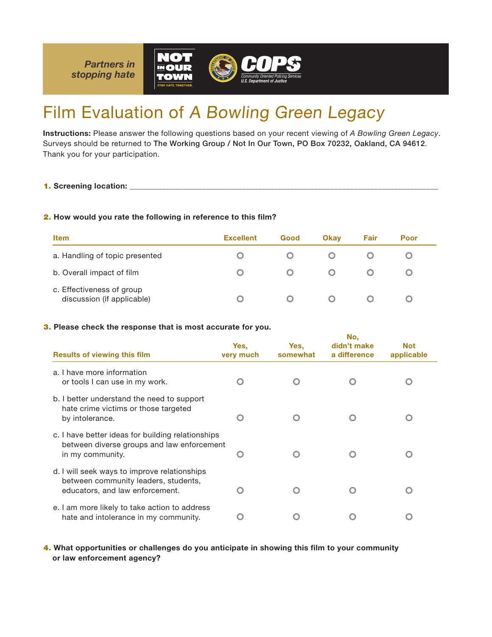*Partners in stopping hate*





# Film Evaluation of A Bowling Green Legacy

Instructions: Please answer the following questions based on your recent viewing of *A Bowling Green Legacy*. Surveys should be returned to The Working Group / Not In Our Town, PO Box 70232, Oakland, CA 94612. Thank you for your participation.

1. Screening location: \_

## 2. How would you rate the following in reference to this film?

| <b>Item</b>                                             | <b>Excellent</b> | Good | <b>Okav</b> | Fair | Poor |
|---------------------------------------------------------|------------------|------|-------------|------|------|
| a. Handling of topic presented                          |                  |      |             |      |      |
| b. Overall impact of film                               |                  |      |             |      |      |
| c. Effectiveness of group<br>discussion (if applicable) |                  |      |             |      |      |

No,

#### 3. Please check the response that is most accurate for you.

| <b>Results of viewing this film</b>                                                                                     | Yes,<br>very much | Yes.<br>somewhat | NO.<br>didn't make<br>a difference | <b>Not</b><br>applicable |
|-------------------------------------------------------------------------------------------------------------------------|-------------------|------------------|------------------------------------|--------------------------|
| a. I have more information<br>or tools I can use in my work.                                                            |                   |                  |                                    |                          |
| b. I better understand the need to support<br>hate crime victims or those targeted<br>by intolerance.                   |                   |                  |                                    |                          |
| c. I have better ideas for building relationships<br>between diverse groups and law enforcement<br>in my community.     |                   |                  |                                    |                          |
| d. I will seek ways to improve relationships<br>between community leaders, students,<br>educators, and law enforcement. |                   |                  |                                    |                          |
| e. I am more likely to take action to address<br>hate and intolerance in my community.                                  |                   |                  |                                    |                          |

4. What opportunities or challenges do you anticipate in showing this film to your community or law enforcement agency?